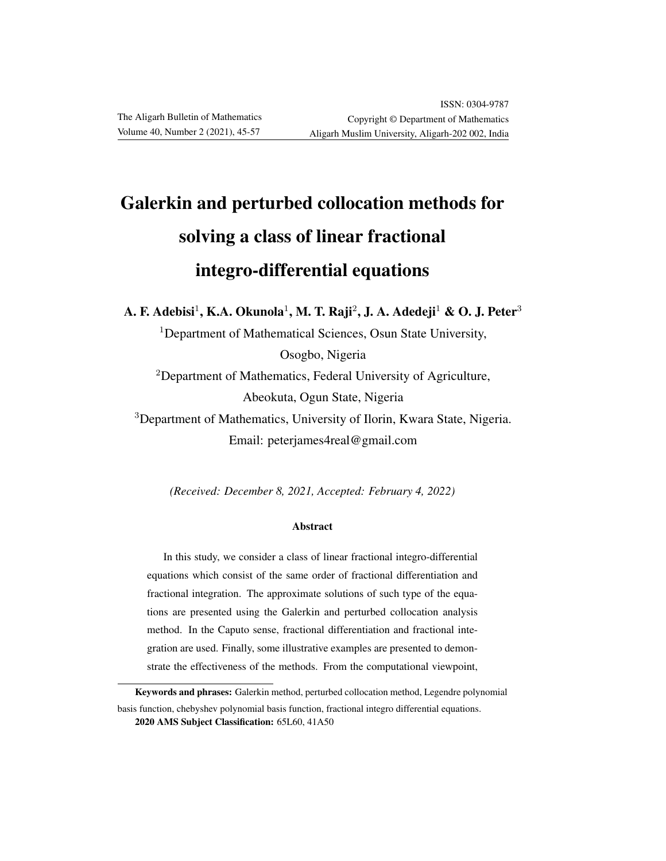# Galerkin and perturbed collocation methods for solving a class of linear fractional integro-differential equations

A. F. Adebisi $^1$ , K.A. Okunola $^1$ , M. T. Raji $^2$ , J. A. Adedeji $^1$  & O. J. Peter $^3$ 

<sup>1</sup>Department of Mathematical Sciences, Osun State University, Osogbo, Nigeria

<sup>2</sup>Department of Mathematics, Federal University of Agriculture, Abeokuta, Ogun State, Nigeria

<sup>3</sup>Department of Mathematics, University of Ilorin, Kwara State, Nigeria. Email: peterjames4real@gmail.com

*(Received: December 8, 2021, Accepted: February 4, 2022)*

### Abstract

In this study, we consider a class of linear fractional integro-differential equations which consist of the same order of fractional differentiation and fractional integration. The approximate solutions of such type of the equations are presented using the Galerkin and perturbed collocation analysis method. In the Caputo sense, fractional differentiation and fractional integration are used. Finally, some illustrative examples are presented to demonstrate the effectiveness of the methods. From the computational viewpoint,

Keywords and phrases: Galerkin method, perturbed collocation method, Legendre polynomial basis function, chebyshev polynomial basis function, fractional integro differential equations. 2020 AMS Subject Classification: 65L60, 41A50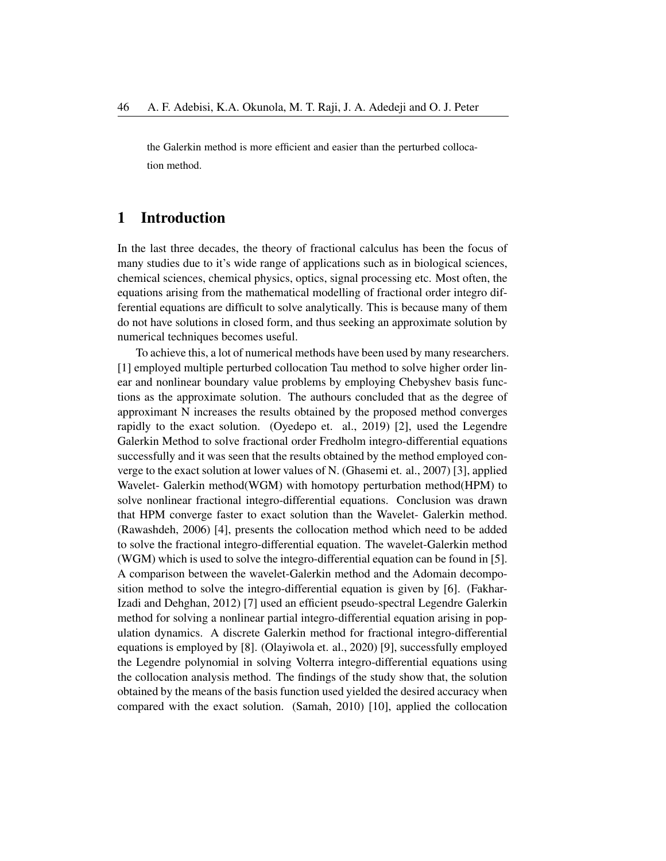the Galerkin method is more efficient and easier than the perturbed collocation method.

## 1 Introduction

In the last three decades, the theory of fractional calculus has been the focus of many studies due to it's wide range of applications such as in biological sciences, chemical sciences, chemical physics, optics, signal processing etc. Most often, the equations arising from the mathematical modelling of fractional order integro differential equations are difficult to solve analytically. This is because many of them do not have solutions in closed form, and thus seeking an approximate solution by numerical techniques becomes useful.

To achieve this, a lot of numerical methods have been used by many researchers. [1] employed multiple perturbed collocation Tau method to solve higher order linear and nonlinear boundary value problems by employing Chebyshev basis functions as the approximate solution. The authours concluded that as the degree of approximant N increases the results obtained by the proposed method converges rapidly to the exact solution. (Oyedepo et. al., 2019) [2], used the Legendre Galerkin Method to solve fractional order Fredholm integro-differential equations successfully and it was seen that the results obtained by the method employed converge to the exact solution at lower values of N. (Ghasemi et. al., 2007) [3], applied Wavelet- Galerkin method(WGM) with homotopy perturbation method(HPM) to solve nonlinear fractional integro-differential equations. Conclusion was drawn that HPM converge faster to exact solution than the Wavelet- Galerkin method. (Rawashdeh, 2006) [4], presents the collocation method which need to be added to solve the fractional integro-differential equation. The wavelet-Galerkin method (WGM) which is used to solve the integro-differential equation can be found in [5]. A comparison between the wavelet-Galerkin method and the Adomain decomposition method to solve the integro-differential equation is given by [6]. (Fakhar-Izadi and Dehghan, 2012) [7] used an efficient pseudo-spectral Legendre Galerkin method for solving a nonlinear partial integro-differential equation arising in population dynamics. A discrete Galerkin method for fractional integro-differential equations is employed by [8]. (Olayiwola et. al., 2020) [9], successfully employed the Legendre polynomial in solving Volterra integro-differential equations using the collocation analysis method. The findings of the study show that, the solution obtained by the means of the basis function used yielded the desired accuracy when compared with the exact solution. (Samah, 2010) [10], applied the collocation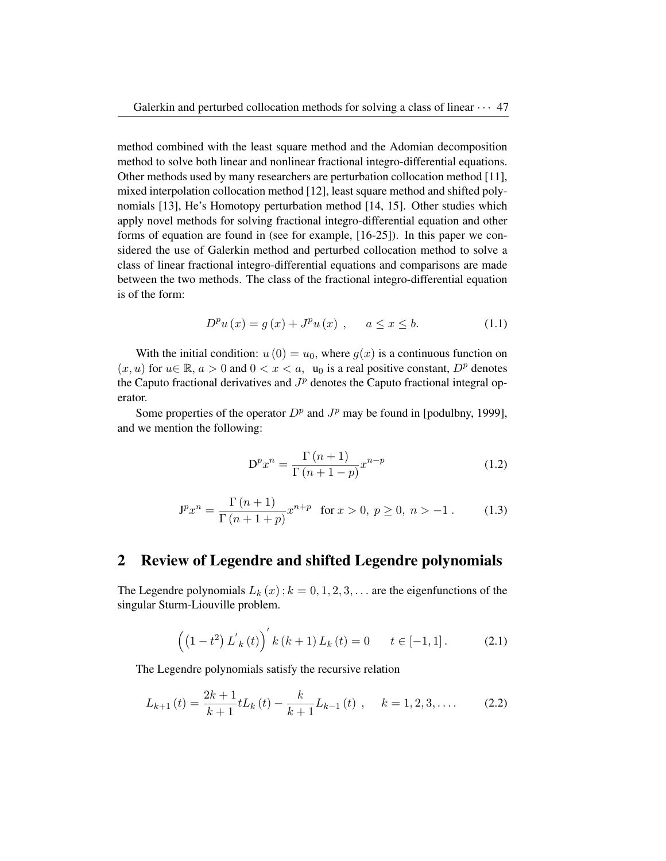method combined with the least square method and the Adomian decomposition method to solve both linear and nonlinear fractional integro-differential equations. Other methods used by many researchers are perturbation collocation method [11], mixed interpolation collocation method [12], least square method and shifted polynomials [13], He's Homotopy perturbation method [14, 15]. Other studies which apply novel methods for solving fractional integro-differential equation and other forms of equation are found in (see for example, [16-25]). In this paper we considered the use of Galerkin method and perturbed collocation method to solve a class of linear fractional integro-differential equations and comparisons are made between the two methods. The class of the fractional integro-differential equation is of the form:

$$
D^{p}u(x) = g(x) + J^{p}u(x) , \quad a \le x \le b.
$$
 (1.1)

With the initial condition:  $u(0) = u_0$ , where  $g(x)$  is a continuous function on  $(x, u)$  for  $u \in \mathbb{R}$ ,  $a > 0$  and  $0 < x < a$ ,  $u_0$  is a real positive constant,  $D^p$  denotes the Caputo fractional derivatives and  $J<sup>p</sup>$  denotes the Caputo fractional integral operator.

Some properties of the operator  $D^p$  and  $J^p$  may be found in [podulbny, 1999], and we mention the following:

$$
D^{p}x^{n} = \frac{\Gamma(n+1)}{\Gamma(n+1-p)}x^{n-p}
$$
\n(1.2)

$$
\mathbf{J}^p x^n = \frac{\Gamma(n+1)}{\Gamma(n+1+p)} x^{n+p} \text{ for } x > 0, \ p \ge 0, \ n > -1. \tag{1.3}
$$

## 2 Review of Legendre and shifted Legendre polynomials

The Legendre polynomials  $L_k(x)$ ;  $k = 0, 1, 2, 3, \ldots$  are the eigenfunctions of the singular Sturm-Liouville problem.

$$
\left( \left( 1 - t^2 \right) L'_{k}(t) \right)' k(k+1) L_{k}(t) = 0 \qquad t \in [-1, 1]. \tag{2.1}
$$

The Legendre polynomials satisfy the recursive relation

$$
L_{k+1}(t) = \frac{2k+1}{k+1}tL_k(t) - \frac{k}{k+1}L_{k-1}(t) , \quad k = 1, 2, 3, .... \tag{2.2}
$$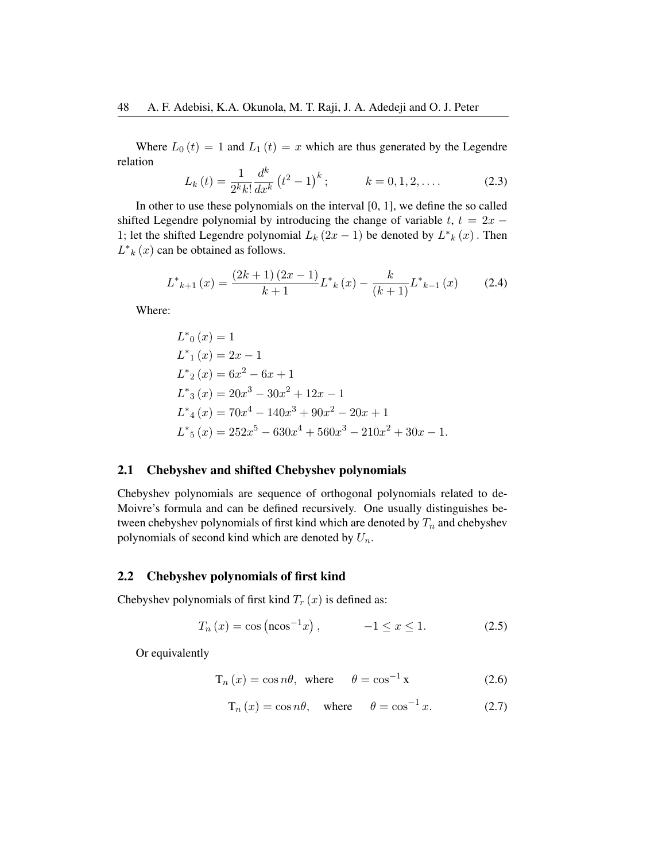Where  $L_0(t) = 1$  and  $L_1(t) = x$  which are thus generated by the Legendre relation

$$
L_{k}(t) = \frac{1}{2^{k}k!} \frac{d^{k}}{dx^{k}} (t^{2} - 1)^{k}; \qquad k = 0, 1, 2, .... \qquad (2.3)
$$

In other to use these polynomials on the interval [0, 1], we define the so called shifted Legendre polynomial by introducing the change of variable  $t$ ,  $t = 2x - 1$ 1; let the shifted Legendre polynomial  $L_k(2x-1)$  be denoted by  $L_{k}^{*}(x)$ . Then  $L^*$ <sub>k</sub>  $(x)$  can be obtained as follows.

$$
L^*{}_{k+1}(x) = \frac{(2k+1)(2x-1)}{k+1}L^*{}_{k}(x) - \frac{k}{(k+1)}L^*{}_{k-1}(x) \tag{2.4}
$$

Where:

$$
L^*_{0}(x) = 1
$$
  
\n
$$
L^*_{1}(x) = 2x - 1
$$
  
\n
$$
L^*_{2}(x) = 6x^2 - 6x + 1
$$
  
\n
$$
L^*_{3}(x) = 20x^3 - 30x^2 + 12x - 1
$$
  
\n
$$
L^*_{4}(x) = 70x^4 - 140x^3 + 90x^2 - 20x + 1
$$
  
\n
$$
L^*_{5}(x) = 252x^5 - 630x^4 + 560x^3 - 210x^2 + 30x - 1.
$$

#### 2.1 Chebyshev and shifted Chebyshev polynomials

Chebyshev polynomials are sequence of orthogonal polynomials related to de-Moivre's formula and can be defined recursively. One usually distinguishes between chebyshev polynomials of first kind which are denoted by  $T_n$  and chebyshev polynomials of second kind which are denoted by  $U_n$ .

#### 2.2 Chebyshev polynomials of first kind

Chebyshev polynomials of first kind  $T_r(x)$  is defined as:

$$
T_n(x) = \cos(\arccos x), \qquad -1 \le x \le 1. \tag{2.5}
$$

Or equivalently

$$
T_n(x) = \cos n\theta, \text{ where } \theta = \cos^{-1} x \tag{2.6}
$$

$$
T_n(x) = \cos n\theta, \quad \text{where} \quad \theta = \cos^{-1} x. \tag{2.7}
$$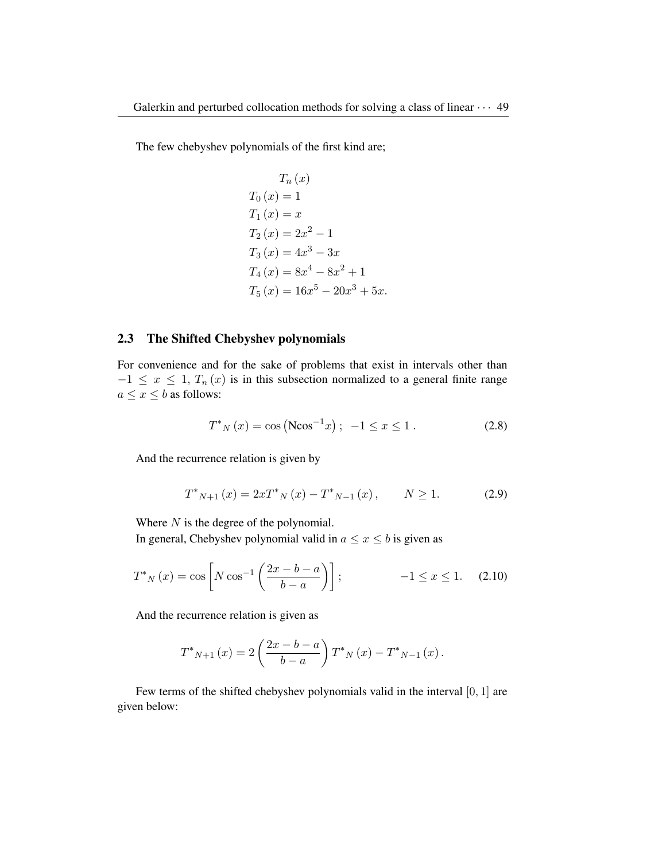The few chebyshev polynomials of the first kind are;

$$
T_n(x)
$$
  
\n
$$
T_0(x) = 1
$$
  
\n
$$
T_1(x) = x
$$
  
\n
$$
T_2(x) = 2x^2 - 1
$$
  
\n
$$
T_3(x) = 4x^3 - 3x
$$
  
\n
$$
T_4(x) = 8x^4 - 8x^2 + 1
$$
  
\n
$$
T_5(x) = 16x^5 - 20x^3 + 5x.
$$

## 2.3 The Shifted Chebyshev polynomials

For convenience and for the sake of problems that exist in intervals other than  $-1 \leq x \leq 1$ ,  $T_n(x)$  is in this subsection normalized to a general finite range  $a \leq x \leq b$  as follows:

$$
T^*_{N}(x) = \cos (N \cos^{-1} x); \ -1 \le x \le 1.
$$
 (2.8)

And the recurrence relation is given by

$$
T^*_{N+1}(x) = 2xT^*_{N}(x) - T^*_{N-1}(x), \qquad N \ge 1.
$$
 (2.9)

Where  $N$  is the degree of the polynomial.

In general, Chebyshev polynomial valid in  $a \leq x \leq b$  is given as

$$
T^*_{N}(x) = \cos\left[N\cos^{-1}\left(\frac{2x - b - a}{b - a}\right)\right]; \qquad -1 \le x \le 1. \tag{2.10}
$$

And the recurrence relation is given as

$$
T^*_{N+1}(x) = 2\left(\frac{2x - b - a}{b - a}\right) T^*_{N}(x) - T^*_{N-1}(x).
$$

Few terms of the shifted chebyshev polynomials valid in the interval [0, 1] are given below: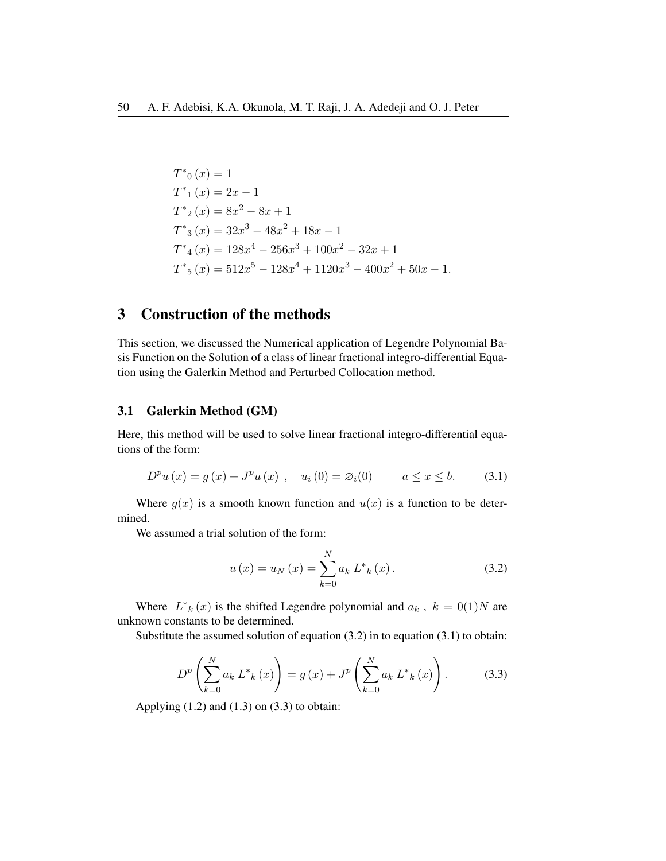$$
T^*_{0}(x) = 1
$$
  
\n
$$
T^*_{1}(x) = 2x - 1
$$
  
\n
$$
T^*_{2}(x) = 8x^2 - 8x + 1
$$
  
\n
$$
T^*_{3}(x) = 32x^3 - 48x^2 + 18x - 1
$$
  
\n
$$
T^*_{4}(x) = 128x^4 - 256x^3 + 100x^2 - 32x + 1
$$
  
\n
$$
T^*_{5}(x) = 512x^5 - 128x^4 + 1120x^3 - 400x^2 + 50x - 1.
$$

# 3 Construction of the methods

This section, we discussed the Numerical application of Legendre Polynomial Basis Function on the Solution of a class of linear fractional integro-differential Equation using the Galerkin Method and Perturbed Collocation method.

## 3.1 Galerkin Method (GM)

Here, this method will be used to solve linear fractional integro-differential equations of the form:

$$
D^{p}u(x) = g(x) + J^{p}u(x) , \quad u_{i}(0) = \varnothing_{i}(0) \qquad a \le x \le b.
$$
 (3.1)

Where  $g(x)$  is a smooth known function and  $u(x)$  is a function to be determined.

We assumed a trial solution of the form:

$$
u(x) = u_N(x) = \sum_{k=0}^{N} a_k L^*_{k}(x).
$$
 (3.2)

Where  $L^*_{k}(x)$  is the shifted Legendre polynomial and  $a_k$ ,  $k = 0(1)N$  are unknown constants to be determined.

Substitute the assumed solution of equation  $(3.2)$  in to equation  $(3.1)$  to obtain:

$$
D^{p}\left(\sum_{k=0}^{N} a_{k} L^{*}_{k}(x)\right) = g(x) + J^{p}\left(\sum_{k=0}^{N} a_{k} L^{*}_{k}(x)\right).
$$
 (3.3)

Applying  $(1.2)$  and  $(1.3)$  on  $(3.3)$  to obtain: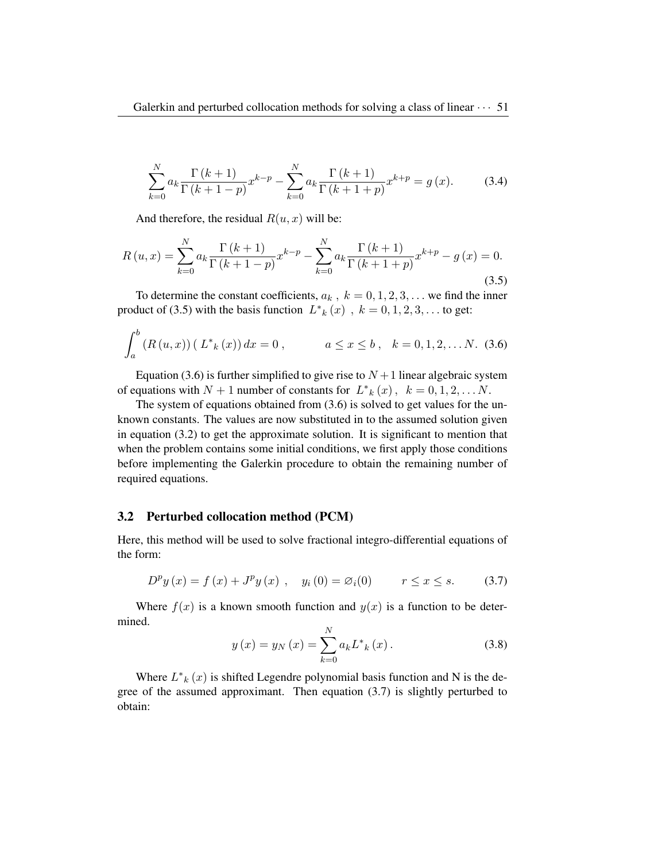$$
\sum_{k=0}^{N} a_k \frac{\Gamma(k+1)}{\Gamma(k+1-p)} x^{k-p} - \sum_{k=0}^{N} a_k \frac{\Gamma(k+1)}{\Gamma(k+1+p)} x^{k+p} = g(x).
$$
 (3.4)

And therefore, the residual  $R(u, x)$  will be:

$$
R(u,x) = \sum_{k=0}^{N} a_k \frac{\Gamma(k+1)}{\Gamma(k+1-p)} x^{k-p} - \sum_{k=0}^{N} a_k \frac{\Gamma(k+1)}{\Gamma(k+1+p)} x^{k+p} - g(x) = 0.
$$
\n(3.5)

To determine the constant coefficients,  $a_k$ ,  $k = 0, 1, 2, 3, \ldots$  we find the inner product of (3.5) with the basis function  $L^*_{k}(x)$ ,  $k = 0, 1, 2, 3, \ldots$  to get:

$$
\int_{a}^{b} (R(u, x)) (L^*_{k}(x)) dx = 0, \qquad a \le x \le b, \quad k = 0, 1, 2, \dots N. \tag{3.6}
$$

Equation (3.6) is further simplified to give rise to  $N+1$  linear algebraic system of equations with  $N + 1$  number of constants for  $L^*_{k}(x)$ ,  $k = 0, 1, 2, \ldots N$ .

The system of equations obtained from (3.6) is solved to get values for the unknown constants. The values are now substituted in to the assumed solution given in equation (3.2) to get the approximate solution. It is significant to mention that when the problem contains some initial conditions, we first apply those conditions before implementing the Galerkin procedure to obtain the remaining number of required equations.

#### 3.2 Perturbed collocation method (PCM)

Here, this method will be used to solve fractional integro-differential equations of the form:

$$
D^{p} y(x) = f(x) + J^{p} y(x) , y_{i}(0) = \varnothing_{i}(0) \qquad r \le x \le s.
$$
 (3.7)

Where  $f(x)$  is a known smooth function and  $y(x)$  is a function to be determined.

$$
y(x) = y_N(x) = \sum_{k=0}^{N} a_k L^*_{k}(x).
$$
 (3.8)

Where  $L^*_{k}(x)$  is shifted Legendre polynomial basis function and N is the degree of the assumed approximant. Then equation (3.7) is slightly perturbed to obtain: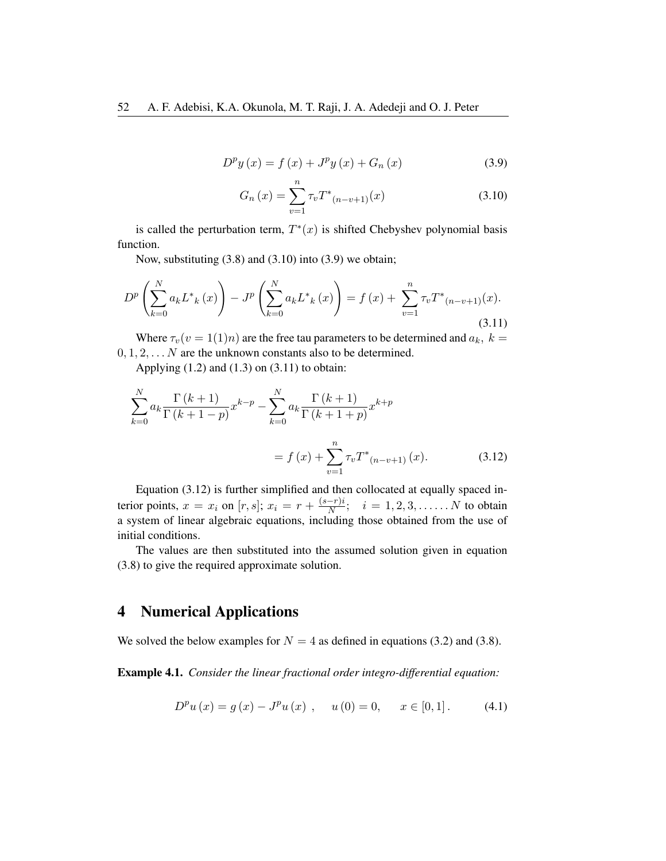$$
D^{p} y(x) = f(x) + J^{p} y(x) + G_{n}(x)
$$
\n(3.9)

$$
G_n(x) = \sum_{v=1}^n \tau_v T^*(n-v+1)}(x)
$$
\n(3.10)

is called the perturbation term,  $T^*(x)$  is shifted Chebyshev polynomial basis function.

Now, substituting (3.8) and (3.10) into (3.9) we obtain;

$$
D^{p}\left(\sum_{k=0}^{N} a_{k} L^{*}_{k}(x)\right) - J^{p}\left(\sum_{k=0}^{N} a_{k} L^{*}_{k}(x)\right) = f(x) + \sum_{v=1}^{n} \tau_{v} T^{*}_{(n-v+1)}(x).
$$
\n(3.11)

Where  $\tau_v(v = 1(1)n)$  are the free tau parameters to be determined and  $a_k$ ,  $k =$  $0, 1, 2, \ldots N$  are the unknown constants also to be determined.

Applying  $(1.2)$  and  $(1.3)$  on  $(3.11)$  to obtain:

$$
\sum_{k=0}^{N} a_k \frac{\Gamma(k+1)}{\Gamma(k+1-p)} x^{k-p} - \sum_{k=0}^{N} a_k \frac{\Gamma(k+1)}{\Gamma(k+1+p)} x^{k+p}
$$
  
=  $f(x) + \sum_{v=1}^{n} \tau_v T^*_{(n-v+1)}(x).$  (3.12)

Equation (3.12) is further simplified and then collocated at equally spaced interior points,  $x = x_i$  on  $[r, s]$ ;  $x_i = r + \frac{(s-r)i}{N}$  $\frac{-r}{N}$ ;  $i = 1, 2, 3, \dots N$  to obtain a system of linear algebraic equations, including those obtained from the use of initial conditions.

The values are then substituted into the assumed solution given in equation (3.8) to give the required approximate solution.

# 4 Numerical Applications

We solved the below examples for  $N = 4$  as defined in equations (3.2) and (3.8).

Example 4.1. *Consider the linear fractional order integro-differential equation:*

$$
D^{p}u(x) = g(x) - J^{p}u(x) , \quad u(0) = 0, \quad x \in [0, 1]. \tag{4.1}
$$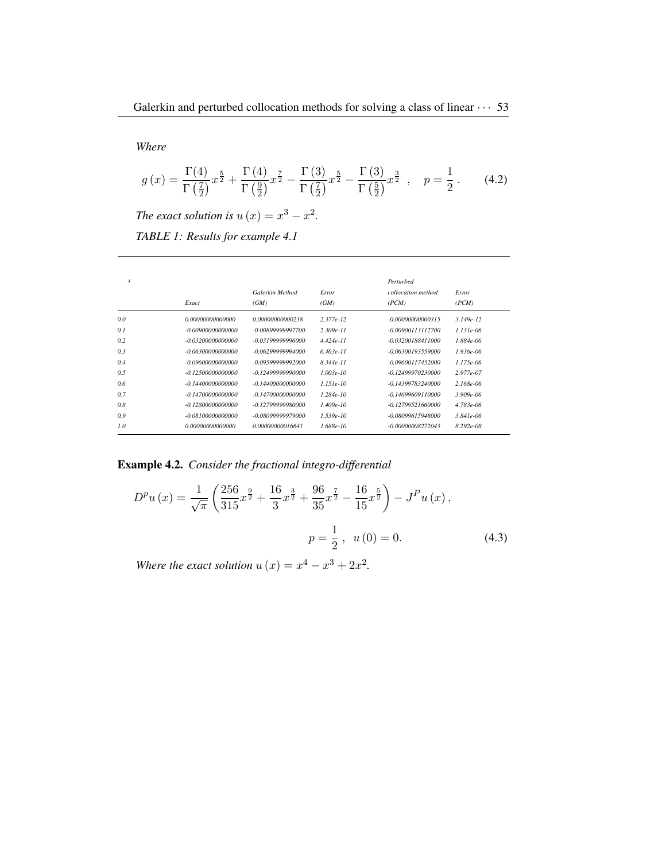*Where*

$$
g(x) = \frac{\Gamma(4)}{\Gamma(\frac{7}{2})} x^{\frac{5}{2}} + \frac{\Gamma(4)}{\Gamma(\frac{9}{2})} x^{\frac{7}{2}} - \frac{\Gamma(3)}{\Gamma(\frac{7}{2})} x^{\frac{5}{2}} - \frac{\Gamma(3)}{\Gamma(\frac{5}{2})} x^{\frac{3}{2}} , \quad p = \frac{1}{2} . \tag{4.2}
$$

*The exact solution is*  $u(x) = x^3 - x^2$ .

*TABLE 1: Results for example 4.1*

| x   | Exact               | Galerkin Method<br>(GM) | Error<br>(GM) | Perturbed<br>collocation method<br>(PCM) | Error<br>(PCM) |
|-----|---------------------|-------------------------|---------------|------------------------------------------|----------------|
| 0.0 | 0.00000000000000    | 0.00000000000238        | $2.377e-12$   | $-0.00000000000315$                      | $3.149e-12$    |
| 0.1 | -0.00900000000000   | $-0.00899999997700$     | $2.309e-11$   | $-0.00900113112700$                      | $1.131e-06$    |
| 0.2 | $-0.03200000000000$ | $-0.03199999996000$     | $4.424e-11$   | $-0.03200188411000$                      | $1.884e-06$    |
| 0.3 | $-0.06300000000000$ | $-0.06299999994000$     | $6.463e-11$   | $-0.06300193559000$                      | $1.936e-06$    |
| 0.4 | $-0.09600000000000$ | $-0.09599999992000$     | $8.344e-11$   | $-0.09600117452000$                      | $1.175e-06$    |
| 0.5 | $-0.12500000000000$ | $-0.12499999990000$     | $1.003e-10$   | $-0.12499970230000$                      | $2.977e-07$    |
| 0.6 | $-0.14400000000000$ | -0 14400000000000       | $1.151e-10$   | $-0.14399783240000$                      | $2.168e-06$    |
| 0.7 | $-0.14700000000000$ | $-0.14700000000000$     | $1.284e-10$   | -0.14699609110000                        | $3.909e - 06$  |
| 0.8 | $-0.12800000000000$ | $-0.12799999980000$     | $1.409e-10$   | $-0.12799521660000$                      | $4.783e-06$    |
| 0.9 | $-0.08100000000000$ | $-0.08099999979000$     | $1.539e-10$   | $-0.08099615948000$                      | $3.841e - 06$  |
| 1.0 | 0.00000000000000    | 0.00000000016641        | $1.688e-10$   | $-0.00000008272043$                      | $8.292e - 08$  |

Example 4.2. *Consider the fractional integro-differential*

$$
D^{p}u(x) = \frac{1}{\sqrt{\pi}} \left( \frac{256}{315} x^{\frac{9}{2}} + \frac{16}{3} x^{\frac{3}{2}} + \frac{96}{35} x^{\frac{7}{2}} - \frac{16}{15} x^{\frac{5}{2}} \right) - J^{P}u(x),
$$
  

$$
p = \frac{1}{2}, \ u(0) = 0.
$$
 (4.3)

*Where the exact solution*  $u(x) = x^4 - x^3 + 2x^2$ .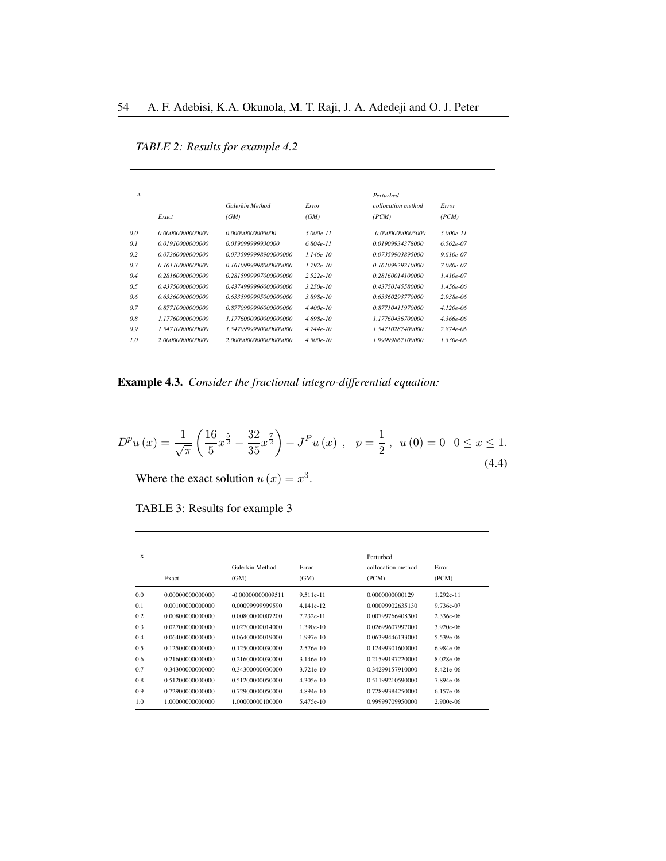| x   |                  |                              |               | Perturbed<br>collocation method |                |
|-----|------------------|------------------------------|---------------|---------------------------------|----------------|
|     | Exact            | Galerkin Method<br>(GM)      | Error<br>(GM) | (PCM)                           | Error<br>(PCM) |
| 0.0 | 0.00000000000000 | 0.00000000005000             | $5.000e-11$   | $-0.000000000005000$            | $5.000e-11$    |
|     | 0.01910000000000 | 0.019099999930000            | $6.804e-11$   | 0.01909934378000                | $6.562e-07$    |
| 0.2 | 0.07360000000000 | 0.0735999998900000000        | $1146e-10$    | 0.07359903895000                | $9.610e - 07$  |
| 0.3 | 0.16110000000000 | 0.1610999998000000000        | $1.792e-10$   | 0.16109929210000                | 7.080e-07      |
| 0.4 | 0.28160000000000 | 0.2815999997000000000        | $2.522e-10$   | 0.28160014100000                | $1.410e-07$    |
|     | 0.43750000000000 | 0.4374999996000000000        | $3.250e-10$   | 0.43750145580000                | $1.456e-06$    |
| 0.6 | 0.63360000000000 | 0.6335999995000000000        | $3.898e - 10$ | 0.63360293770000                | $2.938e - 06$  |
| 0.7 | 0.87710000000000 | <i>0.8770999996000000000</i> | $4.400e-10$   | 0.87710411970000                | $4.120e-06$    |
| 0.8 | 1.17760000000000 | 1.1776000000000000000        | $4.698e-10$   | 1.17760436700000                | $4.366e - 06$  |
| 0.9 | 1.54710000000000 | 1.5470999990000000000        | $4.744e-10$   | 1.54710287400000                | $2.874e - 06$  |
| 1.0 | 2.00000000000000 | 2.0000000000000000000        | $4.500e-10$   | 1.99999867100000                | $1.330e - 06$  |

*TABLE 2: Results for example 4.2*

Example 4.3. *Consider the fractional integro-differential equation:*

$$
D^{p}u(x) = \frac{1}{\sqrt{\pi}} \left( \frac{16}{5} x^{\frac{5}{2}} - \frac{32}{35} x^{\frac{7}{2}} \right) - J^{P}u(x) , \quad p = \frac{1}{2}, \ u(0) = 0 \quad 0 \le x \le 1.
$$
\n(4.4)

Where the exact solution  $u(x) = x^3$ .

| TABLE 3: Results for example 3 |  |
|--------------------------------|--|
|                                |  |

| $\mathbf{x}$ | Exact            | Galerkin Method<br>(GM) | Error<br>(GM) | Perturbed<br>collocation method<br>(PCM) | Error<br>(PCM) |
|--------------|------------------|-------------------------|---------------|------------------------------------------|----------------|
| 0.0          | 0.00000000000000 | $-0.00000000009511$     | 9.511e-11     | 0.0000000000129                          | $1.292e-11$    |
| 0.1          | 0.00100000000000 | 0.00099999999590        | 4.141e-12     | 0.00099902635130                         | 9.736e-07      |
| 0.2          | 0.00800000000000 | 0.00800000007200        | 7.232e-11     | 0.00799766408300                         | 2.336e-06      |
| 0.3          | 0.02700000000000 | 0.02700000014000        | $1.390e-10$   | 0.02699607997000                         | 3.920e-06      |
| 0.4          | 0.06400000000000 | 0.06400000019000        | $1.997e-10$   | 0.06399446133000                         | 5.539e-06      |
| 0.5          | 0.12500000000000 | 0.12500000030000        | 2.576e-10     | 0.12499301600000                         | 6.984e-06      |
| 0.6          | 0.21600000000000 | 0.21600000030000        | $3.146e-10$   | 0.21599197220000                         | 8.028e-06      |
| 0.7          | 0.34300000000000 | 0.34300000030000        | $3.721e-10$   | 0.34299157910000                         | 8.421e-06      |
| 0.8          | 0.51200000000000 | 0.51200000050000        | $4.305e-10$   | 0.51199210590000                         | 7.894e-06      |
| 0.9          | 0.72900000000000 | 0.72900000050000        | $4.894e-10$   | 0.72899384250000                         | 6.157e-06      |
| 1.0          | 1.00000000000000 | 1.00000000100000        | 5.475e-10     | 0.99999709950000                         | 2.900e-06      |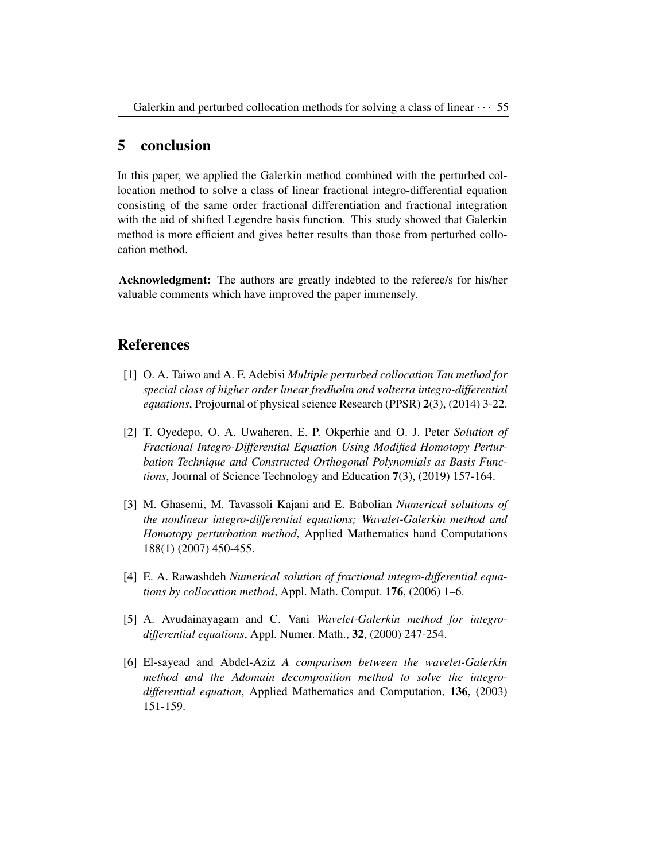## 5 conclusion

In this paper, we applied the Galerkin method combined with the perturbed collocation method to solve a class of linear fractional integro-differential equation consisting of the same order fractional differentiation and fractional integration with the aid of shifted Legendre basis function. This study showed that Galerkin method is more efficient and gives better results than those from perturbed collocation method.

Acknowledgment: The authors are greatly indebted to the referee/s for his/her valuable comments which have improved the paper immensely.

## References

- [1] O. A. Taiwo and A. F. Adebisi *Multiple perturbed collocation Tau method for special class of higher order linear fredholm and volterra integro-differential equations*, Projournal of physical science Research (PPSR) 2(3), (2014) 3-22.
- [2] T. Oyedepo, O. A. Uwaheren, E. P. Okperhie and O. J. Peter *Solution of Fractional Integro-Differential Equation Using Modified Homotopy Perturbation Technique and Constructed Orthogonal Polynomials as Basis Functions*, Journal of Science Technology and Education 7(3), (2019) 157-164.
- [3] M. Ghasemi, M. Tavassoli Kajani and E. Babolian *Numerical solutions of the nonlinear integro-differential equations; Wavalet-Galerkin method and Homotopy perturbation method*, Applied Mathematics hand Computations 188(1) (2007) 450-455.
- [4] E. A. Rawashdeh *Numerical solution of fractional integro-differential equations by collocation method*, Appl. Math. Comput. 176, (2006) 1–6.
- [5] A. Avudainayagam and C. Vani *Wavelet-Galerkin method for integrodifferential equations*, Appl. Numer. Math., 32, (2000) 247-254.
- [6] El-sayead and Abdel-Aziz *A comparison between the wavelet-Galerkin method and the Adomain decomposition method to solve the integrodifferential equation*, Applied Mathematics and Computation, 136, (2003) 151-159.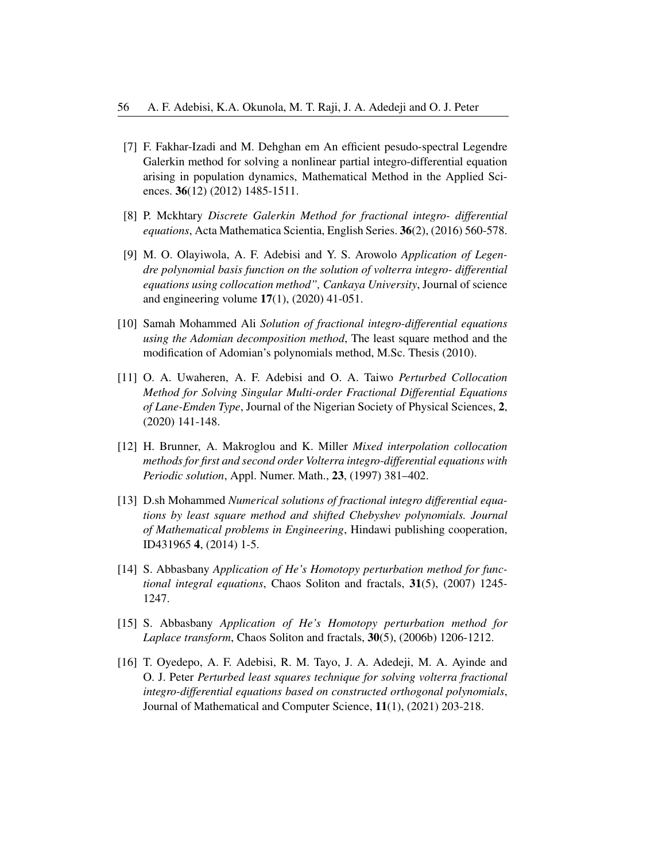- [7] F. Fakhar-Izadi and M. Dehghan em An efficient pesudo-spectral Legendre Galerkin method for solving a nonlinear partial integro-differential equation arising in population dynamics, Mathematical Method in the Applied Sciences. **36**(12) (2012) 1485-1511.
- [8] P. Mckhtary *Discrete Galerkin Method for fractional integro- differential equations*, Acta Mathematica Scientia, English Series. 36(2), (2016) 560-578.
- [9] M. O. Olayiwola, A. F. Adebisi and Y. S. Arowolo *Application of Legendre polynomial basis function on the solution of volterra integro- differential equations using collocation method", Cankaya University*, Journal of science and engineering volume 17(1), (2020) 41-051.
- [10] Samah Mohammed Ali *Solution of fractional integro-differential equations using the Adomian decomposition method*, The least square method and the modification of Adomian's polynomials method, M.Sc. Thesis (2010).
- [11] O. A. Uwaheren, A. F. Adebisi and O. A. Taiwo *Perturbed Collocation Method for Solving Singular Multi-order Fractional Differential Equations of Lane-Emden Type*, Journal of the Nigerian Society of Physical Sciences, 2, (2020) 141-148.
- [12] H. Brunner, A. Makroglou and K. Miller *Mixed interpolation collocation methods for first and second order Volterra integro-differential equations with Periodic solution*, Appl. Numer. Math., 23, (1997) 381–402.
- [13] D.sh Mohammed *Numerical solutions of fractional integro differential equations by least square method and shifted Chebyshev polynomials. Journal of Mathematical problems in Engineering*, Hindawi publishing cooperation, ID431965 4, (2014) 1-5.
- [14] S. Abbasbany *Application of He's Homotopy perturbation method for functional integral equations*, Chaos Soliton and fractals, 31(5), (2007) 1245- 1247.
- [15] S. Abbasbany *Application of He's Homotopy perturbation method for Laplace transform*, Chaos Soliton and fractals, 30(5), (2006b) 1206-1212.
- [16] T. Oyedepo, A. F. Adebisi, R. M. Tayo, J. A. Adedeji, M. A. Ayinde and O. J. Peter *Perturbed least squares technique for solving volterra fractional integro-differential equations based on constructed orthogonal polynomials*, Journal of Mathematical and Computer Science, 11(1), (2021) 203-218.